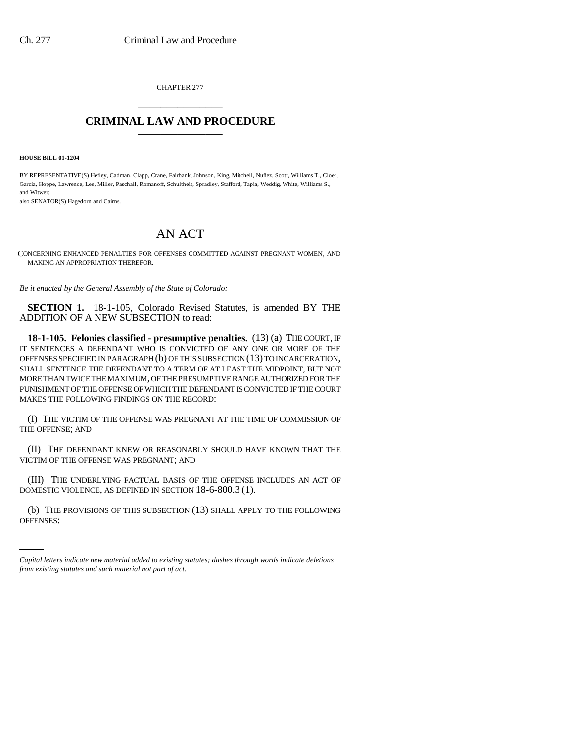CHAPTER 277 \_\_\_\_\_\_\_\_\_\_\_\_\_\_\_

## **CRIMINAL LAW AND PROCEDURE** \_\_\_\_\_\_\_\_\_\_\_\_\_\_\_

**HOUSE BILL 01-1204**

BY REPRESENTATIVE(S) Hefley, Cadman, Clapp, Crane, Fairbank, Johnson, King, Mitchell, Nuñez, Scott, Williams T., Cloer, Garcia, Hoppe, Lawrence, Lee, Miller, Paschall, Romanoff, Schultheis, Spradley, Stafford, Tapia, Weddig, White, Williams S., and Witwer;

also SENATOR(S) Hagedorn and Cairns.

## AN ACT

CONCERNING ENHANCED PENALTIES FOR OFFENSES COMMITTED AGAINST PREGNANT WOMEN, AND MAKING AN APPROPRIATION THEREFOR.

*Be it enacted by the General Assembly of the State of Colorado:*

**SECTION 1.** 18-1-105, Colorado Revised Statutes, is amended BY THE ADDITION OF A NEW SUBSECTION to read:

**18-1-105. Felonies classified - presumptive penalties.** (13) (a) THE COURT, IF IT SENTENCES A DEFENDANT WHO IS CONVICTED OF ANY ONE OR MORE OF THE OFFENSES SPECIFIED IN PARAGRAPH (b) OF THIS SUBSECTION (13) TO INCARCERATION, SHALL SENTENCE THE DEFENDANT TO A TERM OF AT LEAST THE MIDPOINT, BUT NOT MORE THAN TWICE THE MAXIMUM, OF THE PRESUMPTIVE RANGE AUTHORIZED FOR THE PUNISHMENT OF THE OFFENSE OF WHICH THE DEFENDANT IS CONVICTED IF THE COURT MAKES THE FOLLOWING FINDINGS ON THE RECORD:

(I) THE VICTIM OF THE OFFENSE WAS PREGNANT AT THE TIME OF COMMISSION OF THE OFFENSE; AND

(II) THE DEFENDANT KNEW OR REASONABLY SHOULD HAVE KNOWN THAT THE VICTIM OF THE OFFENSE WAS PREGNANT; AND

(III) THE UNDERLYING FACTUAL BASIS OF THE OFFENSE INCLUDES AN ACT OF DOMESTIC VIOLENCE, AS DEFINED IN SECTION 18-6-800.3 (1).

in<br>Salah (b) THE PROVISIONS OF THIS SUBSECTION (13) SHALL APPLY TO THE FOLLOWING OFFENSES:

*Capital letters indicate new material added to existing statutes; dashes through words indicate deletions from existing statutes and such material not part of act.*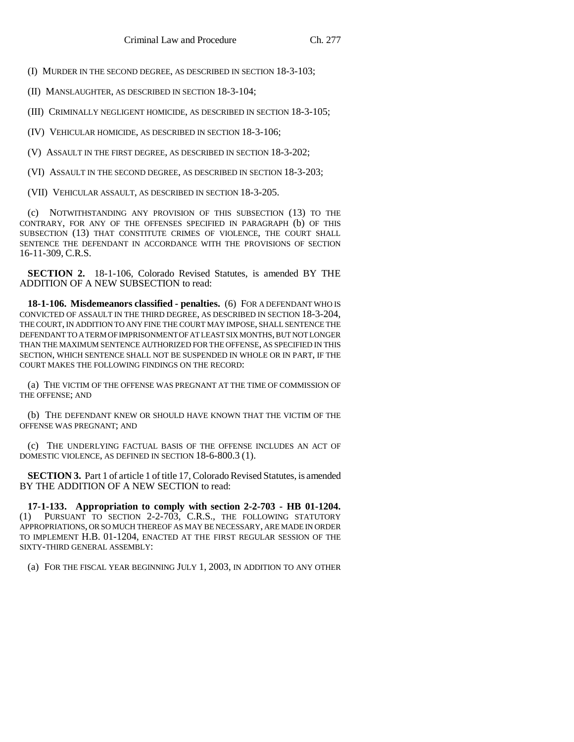(I) MURDER IN THE SECOND DEGREE, AS DESCRIBED IN SECTION 18-3-103;

(II) MANSLAUGHTER, AS DESCRIBED IN SECTION 18-3-104;

(III) CRIMINALLY NEGLIGENT HOMICIDE, AS DESCRIBED IN SECTION 18-3-105;

(IV) VEHICULAR HOMICIDE, AS DESCRIBED IN SECTION 18-3-106;

(V) ASSAULT IN THE FIRST DEGREE, AS DESCRIBED IN SECTION 18-3-202;

(VI) ASSAULT IN THE SECOND DEGREE, AS DESCRIBED IN SECTION 18-3-203;

(VII) VEHICULAR ASSAULT, AS DESCRIBED IN SECTION 18-3-205.

(c) NOTWITHSTANDING ANY PROVISION OF THIS SUBSECTION (13) TO THE CONTRARY, FOR ANY OF THE OFFENSES SPECIFIED IN PARAGRAPH (b) OF THIS SUBSECTION (13) THAT CONSTITUTE CRIMES OF VIOLENCE, THE COURT SHALL SENTENCE THE DEFENDANT IN ACCORDANCE WITH THE PROVISIONS OF SECTION 16-11-309, C.R.S.

**SECTION 2.** 18-1-106, Colorado Revised Statutes, is amended BY THE ADDITION OF A NEW SUBSECTION to read:

**18-1-106. Misdemeanors classified - penalties.** (6) FOR A DEFENDANT WHO IS CONVICTED OF ASSAULT IN THE THIRD DEGREE, AS DESCRIBED IN SECTION 18-3-204, THE COURT, IN ADDITION TO ANY FINE THE COURT MAY IMPOSE, SHALL SENTENCE THE DEFENDANT TO A TERM OF IMPRISONMENT OF AT LEAST SIX MONTHS, BUT NOT LONGER THAN THE MAXIMUM SENTENCE AUTHORIZED FOR THE OFFENSE, AS SPECIFIED IN THIS SECTION, WHICH SENTENCE SHALL NOT BE SUSPENDED IN WHOLE OR IN PART, IF THE COURT MAKES THE FOLLOWING FINDINGS ON THE RECORD:

(a) THE VICTIM OF THE OFFENSE WAS PREGNANT AT THE TIME OF COMMISSION OF THE OFFENSE; AND

(b) THE DEFENDANT KNEW OR SHOULD HAVE KNOWN THAT THE VICTIM OF THE OFFENSE WAS PREGNANT; AND

(c) THE UNDERLYING FACTUAL BASIS OF THE OFFENSE INCLUDES AN ACT OF DOMESTIC VIOLENCE, AS DEFINED IN SECTION 18-6-800.3 (1).

**SECTION 3.** Part 1 of article 1 of title 17, Colorado Revised Statutes, is amended BY THE ADDITION OF A NEW SECTION to read:

**17-1-133. Appropriation to comply with section 2-2-703 - HB 01-1204.** (1) PURSUANT TO SECTION 2-2-703, C.R.S., THE FOLLOWING STATUTORY APPROPRIATIONS, OR SO MUCH THEREOF AS MAY BE NECESSARY, ARE MADE IN ORDER TO IMPLEMENT H.B. 01-1204, ENACTED AT THE FIRST REGULAR SESSION OF THE SIXTY-THIRD GENERAL ASSEMBLY:

(a) FOR THE FISCAL YEAR BEGINNING JULY 1, 2003, IN ADDITION TO ANY OTHER